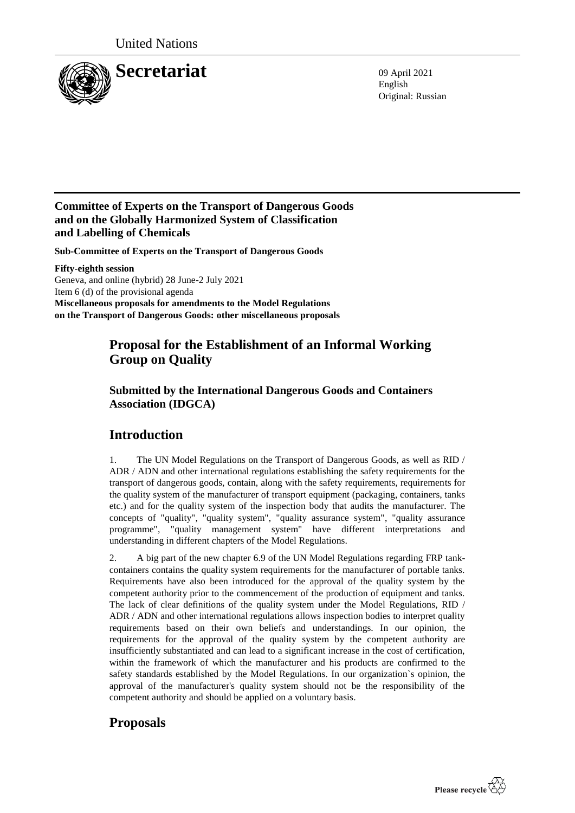

English Original: Russian

### **Committee of Experts on the Transport of Dangerous Goods and on the Globally Harmonized System of Classification and Labelling of Chemicals**

**Sub-Committee of Experts on the Transport of Dangerous Goods**

**Fifty-eighth session** Geneva, and online (hybrid) 28 June-2 July 2021 Item 6 (d) of the provisional agenda **Miscellaneous proposals for amendments to the Model Regulations on the Transport of Dangerous Goods: other miscellaneous proposals**

# **Proposal for the Establishment of an Informal Working Group on Quality**

### **Submitted by the International Dangerous Goods and Containers Association (IDGCA)**

## **Introduction**

1. The UN Model Regulations on the Transport of Dangerous Goods, as well as RID / ADR / ADN and other international regulations establishing the safety requirements for the transport of dangerous goods, contain, along with the safety requirements, requirements for the quality system of the manufacturer of transport equipment (packaging, containers, tanks etc.) and for the quality system of the inspection body that audits the manufacturer. The concepts of "quality", "quality system", "quality assurance system", "quality assurance programme", "quality management system" have different interpretations and understanding in different chapters of the Model Regulations.

2. A big part of the new chapter 6.9 of the UN Model Regulations regarding FRP tankcontainers contains the quality system requirements for the manufacturer of portable tanks. Requirements have also been introduced for the approval of the quality system by the competent authority prior to the commencement of the production of equipment and tanks. The lack of clear definitions of the quality system under the Model Regulations, RID / ADR / ADN and other international regulations allows inspection bodies to interpret quality requirements based on their own beliefs and understandings. In our opinion, the requirements for the approval of the quality system by the competent authority are insufficiently substantiated and can lead to a significant increase in the cost of certification, within the framework of which the manufacturer and his products are confirmed to the safety standards established by the Model Regulations. In our organization`s opinion, the approval of the manufacturer's quality system should not be the responsibility of the competent authority and should be applied on a voluntary basis.

## **Proposals**